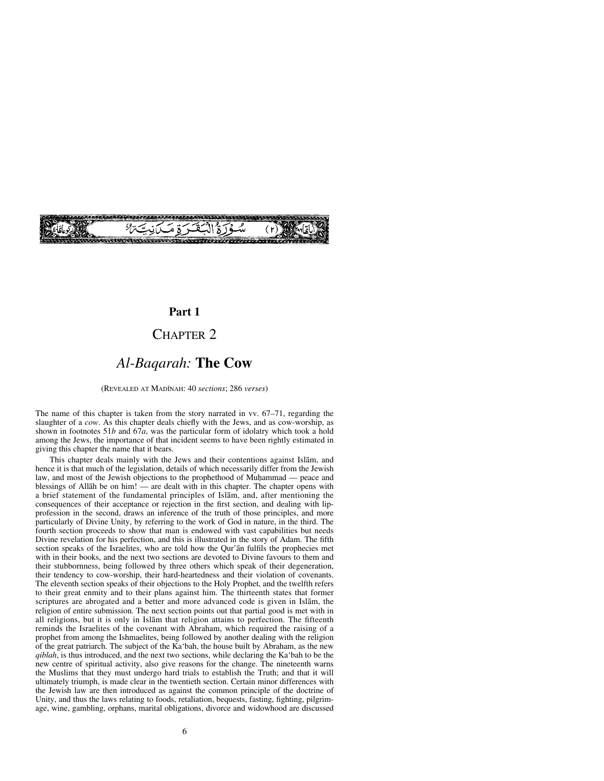

# **Part 1**

# CHAPTER 2

# *Al-Baqarah:* **The Cow**

(REVEALED AT MADÍNAH: 40 *sections*; 286 *verses*)

The name of this chapter is taken from the story narrated in vv. 67–71, regarding the slaughter of a *cow*. As this chapter deals chiefly with the Jews, and as cow-worship, as shown in footnotes 51*b* and 67*a*, was the particular form of idolatry which took a hold among the Jews, the importance of that incident seems to have been rightly estimated in giving this chapter the name that it bears.

This chapter deals mainly with the Jews and their contentions against Islåm, and hence it is that much of the legislation, details of which necessarily differ from the Jewish law, and most of the Jewish objections to the prophethood of Muhammad — peace and blessings of Allåh be on him! — are dealt with in this chapter. The chapter opens with a brief statement of the fundamental principles of Islåm, and, after mentioning the consequences of their acceptance or rejection in the first section, and dealing with lipprofession in the second, draws an inference of the truth of those principles, and more particularly of Divine Unity, by referring to the work of God in nature, in the third. The fourth section proceeds to show that man is endowed with vast capabilities but needs Divine revelation for his perfection, and this is illustrated in the story of Adam. The fifth section speaks of the Israelites, who are told how the Qur'ån fulfils the prophecies met with in their books, and the next two sections are devoted to Divine favours to them and their stubbornness, being followed by three others which speak of their degeneration, their tendency to cow-worship, their hard-heartedness and their violation of covenants. The eleventh section speaks of their objections to the Holy Prophet, and the twelfth refers to their great enmity and to their plans against him. The thirteenth states that former scriptures are abrogated and a better and more advanced code is given in Islåm, the religion of entire submission. The next section points out that partial good is met with in all religions, but it is only in Islåm that religion attains to perfection. The fifteenth reminds the Israelites of the covenant with Abraham, which required the raising of a prophet from among the Ishmaelites, being followed by another dealing with the religion of the great patriarch. The subject of the Ka'bah, the house built by Abraham, as the new *qiblah*, is thus introduced, and the next two sections, while declaring the Ka'bah to be the new centre of spiritual activity, also give reasons for the change. The nineteenth warns the Muslims that they must undergo hard trials to establish the Truth; and that it will ultimately triumph, is made clear in the twentieth section. Certain minor differences with the Jewish law are then introduced as against the common principle of the doctrine of Unity, and thus the laws relating to foods, retaliation, bequests, fasting, fighting, pilgrimage, wine, gambling, orphans, marital obligations, divorce and widowhood are discussed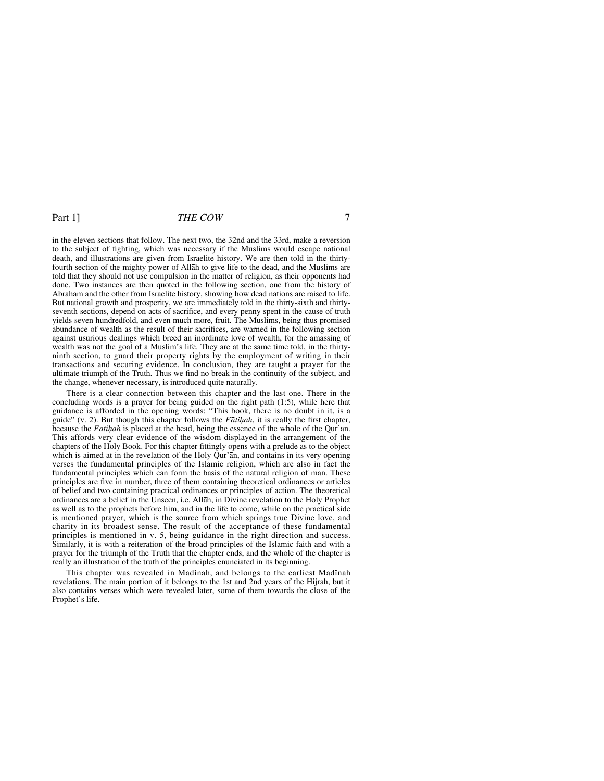in the eleven sections that follow. The next two, the 32nd and the 33rd, make a reversion to the subject of fighting, which was necessary if the Muslims would escape national death, and illustrations are given from Israelite history. We are then told in the thirtyfourth section of the mighty power of Allåh to give life to the dead, and the Muslims are told that they should not use compulsion in the matter of religion, as their opponents had done. Two instances are then quoted in the following section, one from the history of Abraham and the other from Israelite history, showing how dead nations are raised to life. But national growth and prosperity, we are immediately told in the thirty-sixth and thirtyseventh sections, depend on acts of sacrifice, and every penny spent in the cause of truth yields seven hundredfold, and even much more, fruit. The Muslims, being thus promised abundance of wealth as the result of their sacrifices, are warned in the following section against usurious dealings which breed an inordinate love of wealth, for the amassing of wealth was not the goal of a Muslim's life. They are at the same time told, in the thirtyninth section, to guard their property rights by the employment of writing in their transactions and securing evidence. In conclusion, they are taught a prayer for the ultimate triumph of the Truth. Thus we find no break in the continuity of the subject, and the change, whenever necessary, is introduced quite naturally.

There is a clear connection between this chapter and the last one. There in the concluding words is a prayer for being guided on the right path (1:5), while here that guidance is afforded in the opening words: "This book, there is no doubt in it, is a guide" (v. 2). But though this chapter follows the *Fātihah*, it is really the first chapter, because the *Fātihah* is placed at the head, being the essence of the whole of the Qur'ān. This affords very clear evidence of the wisdom displayed in the arrangement of the chapters of the Holy Book. For this chapter fittingly opens with a prelude as to the object which is aimed at in the revelation of the Holy Our'an, and contains in its very opening verses the fundamental principles of the Islamic religion, which are also in fact the fundamental principles which can form the basis of the natural religion of man. These principles are five in number, three of them containing theoretical ordinances or articles of belief and two containing practical ordinances or principles of action. The theoretical ordinances are a belief in the Unseen, i.e. Allåh, in Divine revelation to the Holy Prophet as well as to the prophets before him, and in the life to come, while on the practical side is mentioned prayer, which is the source from which springs true Divine love, and charity in its broadest sense. The result of the acceptance of these fundamental principles is mentioned in v. 5, being guidance in the right direction and success. Similarly, it is with a reiteration of the broad principles of the Islamic faith and with a prayer for the triumph of the Truth that the chapter ends, and the whole of the chapter is really an illustration of the truth of the principles enunciated in its beginning.

This chapter was revealed in Madinah, and belongs to the earliest Madinah revelations. The main portion of it belongs to the 1st and 2nd years of the Hijrah, but it also contains verses which were revealed later, some of them towards the close of the Prophet's life.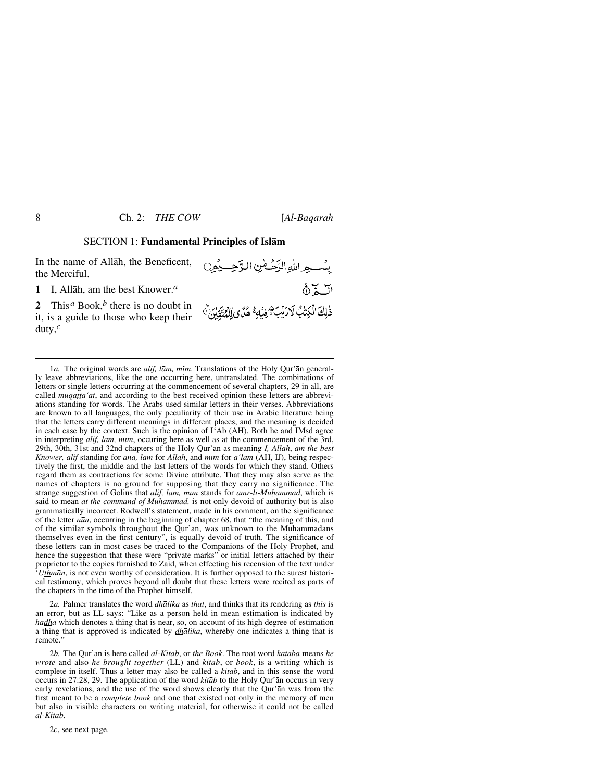#### SECTION 1: **Fundamental Principles of Islåm**

In the name of Allåh, the Beneficent, the Merciful.

**1** I, Allåh, am the best Knower.*<sup>a</sup>*

**2** This*<sup>a</sup>* Book,*<sup>b</sup>* there is no doubt in it, is a guide to those who keep their duty,*<sup>c</sup>*



1*a.* The original words are *alif, lām, mim.* Translations of the Holy Qur'an generally leave abbreviations, like the one occurring here, untranslated. The combinations of letters or single letters occurring at the commencement of several chapters, 29 in all, are called *muqa∆∆a'åt*, and according to the best received opinion these letters are abbreviations standing for words. The Arabs used similar letters in their verses. Abbreviations are known to all languages, the only peculiarity of their use in Arabic literature being that the letters carry different meanings in different places, and the meaning is decided in each case by the context. Such is the opinion of I'Ab (AH). Both he and IMsd agree in interpreting *alif, lām, mim, occuring here as well as at the commencement of the 3rd,* 29th, 30th, 31st and 32nd chapters of the Holy Qur'ån as meaning *I, Allåh*, *am the best Knower, alif* standing for *ana, låm* for *Allåh*, and *mßm* for *a'lam* (AH, IJ), being respectively the first, the middle and the last letters of the words for which they stand. Others regard them as contractions for some Divine attribute. That they may also serve as the names of chapters is no ground for supposing that they carry no significance. The strange suggestion of Golius that *alif, lām, mim* stands for *amr-li-Muhammad*, which is said to mean *at the command of Muhammad*, is not only devoid of authority but is also grammatically incorrect. Rodwell's statement, made in his comment, on the significance of the letter *n∂n*, occurring in the beginning of chapter 68, that "the meaning of this, and of the similar symbols throughout the Qur'ån, was unknown to the Muhammadans themselves even in the first century", is equally devoid of truth. The significance of these letters can in most cases be traced to the Companions of the Holy Prophet, and hence the suggestion that these were "private marks" or initial letters attached by their proprietor to the copies furnished to Zaid, when effecting his recension of the text under '*Uthmån*, is not even worthy of consideration. It is further opposed to the surest historical testimony, which proves beyond all doubt that these letters were recited as parts of the chapters in the time of the Prophet himself.

2*a.* Palmer translates the word *dhålika* as *that*, and thinks that its rendering as *this* is an error, but as LL says: "Like as a person held in mean estimation is indicated by *hådhå* which denotes a thing that is near, so, on account of its high degree of estimation a thing that is approved is indicated by *dhålika*, whereby one indicates a thing that is remote."

2*b.* The Qur'ån is here called *al-Kitåb*, or *the Book*. The root word *kataba* means *he wrote* and also *he brought together* (LL) and *kitåb*, or *book*, is a writing which is complete in itself. Thus a letter may also be called a *kitåb*, and in this sense the word occurs in 27:28, 29. The application of the word *kitåb* to the Holy Qur'ån occurs in very early revelations, and the use of the word shows clearly that the Qur'ån was from the first meant to be a *complete book* and one that existed not only in the memory of men but also in visible characters on writing material, for otherwise it could not be called *al-Kitåb*.

2*c*, see next page.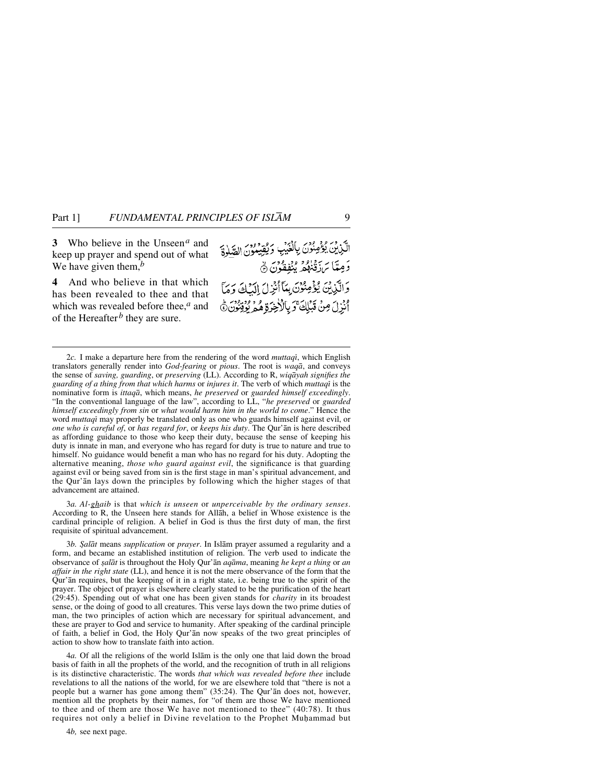**3** Who believe in the Unseen*<sup>a</sup>* and keep up prayer and spend out of what We have given them,*<sup>b</sup>*

**4** And who believe in that which has been revealed to thee and that which was revealed before thee,<sup>*a*</sup> and of the Hereafter*<sup>b</sup>* they are sure.

الَّذِينَ يُؤْمِنُوْنَ بِالْغَيْبِ وَيُقِيْدُونَ الصَّلِاةَ دَمِيّاً بَرَدْنِهُمْ بِبُفِقُونَ ۞ وَالَّذِينَ يُؤْمِنُونَ بِمَأْأَنِّزِلَ إِلَيْكَ وَمَا ابْزِلَ مِنْ قَبْلِكَ وَبِالْأَخِرَةِ مُمْ يُوْتِنُونَ ﴾

3*a. Al-ghaib* is that *which is unseen* or *unperceivable by the ordinary senses*. According to R, the Unseen here stands for Allåh, a belief in Whose existence is the cardinal principle of religion. A belief in God is thus the first duty of man, the first requisite of spiritual advancement.

3*b. ˝alåt* means *supplication* or *prayer*. In Islåm prayer assumed a regularity and a form, and became an established institution of religion. The verb used to indicate the observance of *©alåt* is throughout the Holy Qur'ån *aqåma*, meaning *he kept a thing* or *an affair in the right state* (LL), and hence it is not the mere observance of the form that the Qur'ån requires, but the keeping of it in a right state, i.e. being true to the spirit of the prayer. The object of prayer is elsewhere clearly stated to be the purification of the heart (29:45). Spending out of what one has been given stands for *charity* in its broadest sense, or the doing of good to all creatures. This verse lays down the two prime duties of man, the two principles of action which are necessary for spiritual advancement, and these are prayer to God and service to humanity. After speaking of the cardinal principle of faith, a belief in God, the Holy Qur'ån now speaks of the two great principles of action to show how to translate faith into action.

4*a.* Of all the religions of the world Islåm is the only one that laid down the broad basis of faith in all the prophets of the world, and the recognition of truth in all religions is its distinctive characteristic. The words *that which was revealed before thee* include revelations to all the nations of the world, for we are elsewhere told that "there is not a people but a warner has gone among them" (35:24). The Qur'ån does not, however, mention all the prophets by their names, for "of them are those We have mentioned to thee and of them are those We have not mentioned to thee" (40:78). It thus requires not only a belief in Divine revelation to the Prophet Muhammad but

4*b,* see next page.

<sup>2</sup>*c.* I make a departure here from the rendering of the word *muttaqß*, which English translators generally render into *God-fearing* or *pious*. The root is *waqå*, and conveys the sense of *saving, guarding*, or *preserving* (LL). According to R, *wiqåyah signifies the guarding of a thing from that which harms* or *injures it*. The verb of which *muttaqß* is the nominative form is *ittaqå*, which means, *he preserved* or *guarded himself exceedingly*. "In the conventional language of the law", according to LL, "*he preserved* or *guarded himself exceedingly from sin* or *what would harm him in the world to come*." Hence the word *muttaqß* may properly be translated only as one who guards himself against evil, or *one who is careful of*, or *has regard for*, or *keeps his duty*. The Qur'ån is here described as affording guidance to those who keep their duty, because the sense of keeping his duty is innate in man, and everyone who has regard for duty is true to nature and true to himself. No guidance would benefit a man who has no regard for his duty. Adopting the alternative meaning, *those who guard against evil*, the significance is that guarding against evil or being saved from sin is the first stage in man's spiritual advancement, and the Qur'ån lays down the principles by following which the higher stages of that advancement are attained.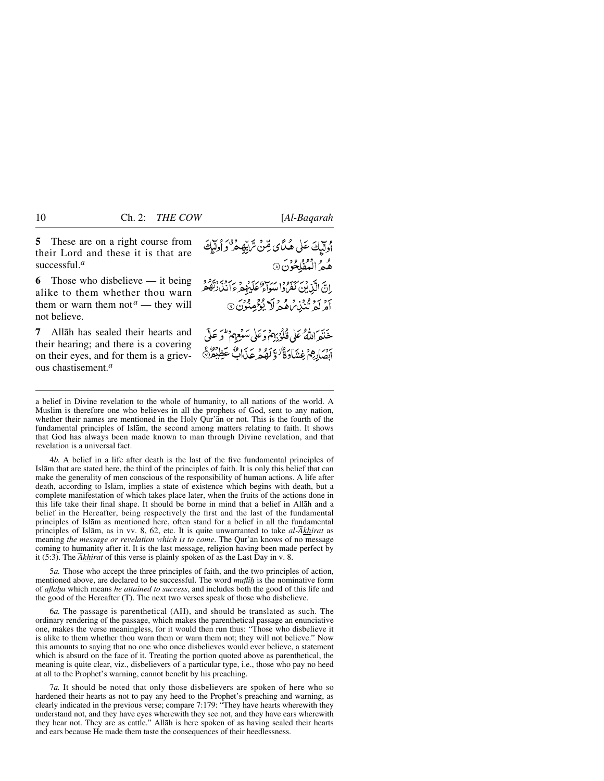**5** These are on a right course from their Lord and these it is that are successful.*<sup>a</sup>*

**6** Those who disbelieve — it being alike to them whether thou warn them or warn them not<sup> $a$ </sup> — they will not believe.

**7** Allåh has sealed their hearts and their hearing; and there is a covering on their eyes, and for them is a grievous chastisement.*<sup>a</sup>*

أُولَيْكَ عَلَى هُدَّى مِّنْ تَرْبِّهِ مُرْكَزٍ أُولَيْكَ و والمُفْلِحُونَ 9 انَّ الَّذِينَ كَفَرُدا سَوَّاءَ عَلَيْهِمْ ءَ رَبَّهُ بِهِ مَا يَهُ اَمْرِ كَمْ تَنْبَيْهُ، هُمْرِ لَا يُؤْمِنُونَ ۞ خَنَةَ اللَّهُ عَلَى قُلُوْبِهِمْ وَعَلَى سَبْعِهِمْ لَوَ عَلَى اصَارِهِمْ غِشَاوَةٌ وَلَهُهُ عَذَابٌ عَظِيْمٌ

4*b.* A belief in a life after death is the last of the five fundamental principles of Islåm that are stated here, the third of the principles of faith. It is only this belief that can make the generality of men conscious of the responsibility of human actions. A life after death, according to Islåm, implies a state of existence which begins with death, but a complete manifestation of which takes place later, when the fruits of the actions done in this life take their final shape. It should be borne in mind that a belief in Allåh and a belief in the Hereafter, being respectively the first and the last of the fundamental principles of Islåm as mentioned here, often stand for a belief in all the fundamental principles of Islåm, as in vv. 8, 62, etc. It is quite unwarranted to take *al-Åkhirat* as meaning *the message or revelation which is to come*. The Qur'ån knows of no message coming to humanity after it. It is the last message, religion having been made perfect by it (5:3). The *Åkhirat* of this verse is plainly spoken of as the Last Day in v. 8.

5*a.* Those who accept the three principles of faith, and the two principles of action, mentioned above, are declared to be successful. The word *muflih* is the nominative form of *afla√a* which means *he attained to success*, and includes both the good of this life and the good of the Hereafter (T). The next two verses speak of those who disbelieve.

6*a.* The passage is parenthetical (AH), and should be translated as such. The ordinary rendering of the passage, which makes the parenthetical passage an enunciative one, makes the verse meaningless, for it would then run thus: "Those who disbelieve it is alike to them whether thou warn them or warn them not; they will not believe." Now this amounts to saying that no one who once disbelieves would ever believe, a statement which is absurd on the face of it. Treating the portion quoted above as parenthetical, the meaning is quite clear, viz., disbelievers of a particular type, i.e., those who pay no heed at all to the Prophet's warning, cannot benefit by his preaching.

7*a.* It should be noted that only those disbelievers are spoken of here who so hardened their hearts as not to pay any heed to the Prophet's preaching and warning, as clearly indicated in the previous verse; compare 7:179: "They have hearts wherewith they understand not, and they have eyes wherewith they see not, and they have ears wherewith they hear not. They are as cattle." Allåh is here spoken of as having sealed their hearts and ears because He made them taste the consequences of their heedlessness.

a belief in Divine revelation to the whole of humanity, to all nations of the world. A Muslim is therefore one who believes in all the prophets of God, sent to any nation, whether their names are mentioned in the Holy Qur'ån or not. This is the fourth of the fundamental principles of Islåm, the second among matters relating to faith. It shows that God has always been made known to man through Divine revelation, and that revelation is a universal fact.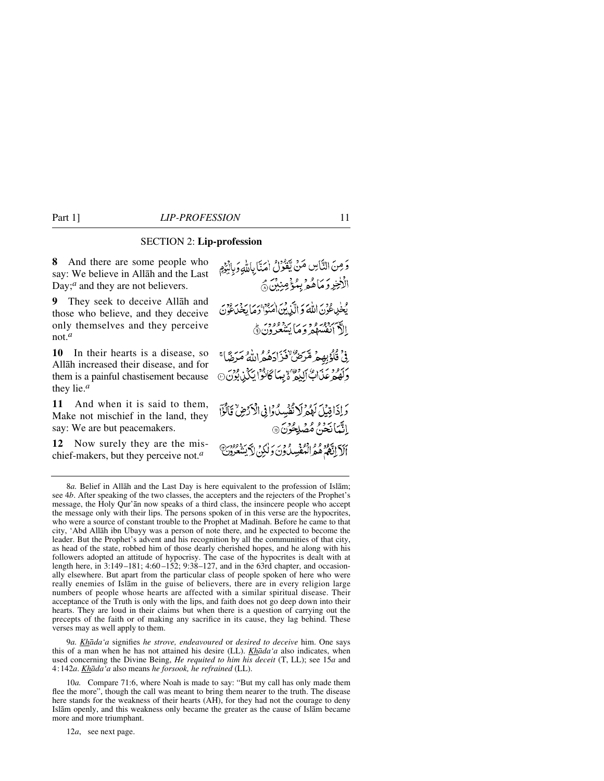# SECTION 2: **Lip-profession**

**8** And there are some people who say: We believe in Allåh and the Last Day;<sup>*a*</sup> and they are not believers.

**9** They seek to deceive Allåh and those who believe, and they deceive only themselves and they perceive not.*<sup>a</sup>*

**10** In their hearts is a disease, so Allåh increased their disease, and for them is a painful chastisement because they lie.*<sup>a</sup>*

**11** And when it is said to them, Make not mischief in the land, they say: We are but peacemakers.

**12** Now surely they are the mischief-makers, but they perceive not.*<sup>a</sup>*

وَمِنَ النَّاسِ مَنْ يَّتَدُّرُنُ اٰمَنَّا بِاللّهِ وَبِالْبَوْمِ الْأَخِرِ وَمَاهُوۡ بِمُؤۡمِنِيۡنَ ﴾ يُلْمِي عُوْنَ اللَّهَ وَ إِلَّيْ بِنَ اٰ رُدُو بِرِيما بِهِ مِنْ وَمِرٍ ال*أسبع وعبر و د بر*يز ووود.<br>الأ انفس*ه*م و ما يسعرون ( ِ فِي قُلُوْبِهِمْ مِّرَضٌ فَذَارَهُ هُ اللَّهُ مَرَضًا ۚ وَلَهُمْ عَذَابٌ إِلَيْمٌ ۚ يَبِيَأُ كَأَنُوْا يَكُذِرِ بُوْنَ۞ وَإِذَاقِيْلَ لَهُمْ لَا تَفْسِدُوْإِنِّي الْأَرْضِ ۗ قَالُوْٓا الثَّمَانَ مَنْ مُصْلِحُونَ @ أَلَآ اِنَّهُمْ هُمُ الْمُفْسِدُونَ وَلٰكِنِّ لاَّ يَسْعُرُونَّ

9*a. Khåda'a* signifies *he strove, endeavoured* or *desired to deceive* him. One says this of a man when he has not attained his desire (LL). *Khåda'a* also indicates, when used concerning the Divine Being, *He requited to him his deceit* (T, LL); see 15*a* and 4:142*a*. *Khåda'a* also means *he forsook, he refrained* (LL).

10*a.* Compare 71:6, where Noah is made to say: "But my call has only made them flee the more", though the call was meant to bring them nearer to the truth. The disease here stands for the weakness of their hearts (AH), for they had not the courage to deny Islåm openly, and this weakness only became the greater as the cause of Islåm became more and more triumphant.

12*a*, see next page.

<sup>8</sup>*a.* Belief in Allåh and the Last Day is here equivalent to the profession of Islåm; see 4*b*. After speaking of the two classes, the accepters and the rejecters of the Prophet's message, the Holy Qur'ån now speaks of a third class, the insincere people who accept the message only with their lips. The persons spoken of in this verse are the hypocrites, who were a source of constant trouble to the Prophet at Madinah. Before he came to that city, 'Abd Allåh ibn Ubayy was a person of note there, and he expected to become the leader. But the Prophet's advent and his recognition by all the communities of that city, as head of the state, robbed him of those dearly cherished hopes, and he along with his followers adopted an attitude of hypocrisy. The case of the hypocrites is dealt with at length here, in 3:149-181; 4:60-152; 9:38-127, and in the 63rd chapter, and occasionally elsewhere. But apart from the particular class of people spoken of here who were really enemies of Islåm in the guise of believers, there are in every religion large numbers of people whose hearts are affected with a similar spiritual disease. Their acceptance of the Truth is only with the lips, and faith does not go deep down into their hearts. They are loud in their claims but when there is a question of carrying out the precepts of the faith or of making any sacrifice in its cause, they lag behind. These verses may as well apply to them.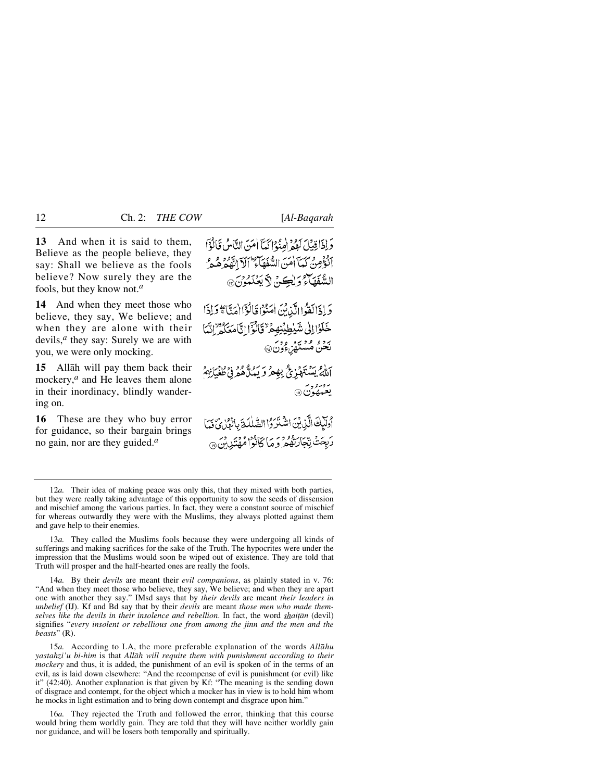**13** And when it is said to them, Believe as the people believe, they say: Shall we believe as the fools believe? Now surely they are the fools, but they know not.*<sup>a</sup>*

**14** And when they meet those who believe, they say, We believe; and when they are alone with their devils,*<sup>a</sup>* they say: Surely we are with you, we were only mocking.

**15** Allåh will pay them back their mockery,*<sup>a</sup>* and He leaves them alone in their inordinacy, blindly wandering on.

**16** These are they who buy error for guidance, so their bargain brings no gain, nor are they guided.*<sup>a</sup>*

وَإِذَاقِيبَهُ كَمِيْهِ هُدُوا كَمَآ أَمَنَ النَّاسُ قَالَةٌ} أَنْݣُومِنُ كَمَآ أَمَنَ الشُّفَهَآءُ ۖ أَلَآ الْفَهْرَهُ مِرْمٍ السَّفَهَآءُ وَلِٰكِنَّ لاَّ بَعْنَدُونَ ۞

دَاذَالَقَوْاالَّذِينَ امْنُوْا قَالُوْۤاامْتَا مَجْ دَاذَا خَلَوْالِلْي شَيْطِيْنِهِمْ ۗ قَالُوْاْ إِنَّامَعَكُمْ إِنَّهَا بَدْءٌ مُسْتَهْزِءٌ وَنَ۞

أَللَّهُ بِيَسْتَهْدَىٰ بِمِهْجِرٍ وَ سَيُلَّاهُمْ فِي طُغْيَانِهُمْ برويروبر<br>**يعيدهون** @

أُولَيْكَ الَّذِينَ اشْتَرَوُا الصَّلْدَةَ بِالْهُرْيِّ فَمَا رْبِحَتْ تِبْجَارَتِهُمْ وَمَا كَانُوْا مُهْتَدِينِ مِ

13*a.* They called the Muslims fools because they were undergoing all kinds of sufferings and making sacrifices for the sake of the Truth. The hypocrites were under the impression that the Muslims would soon be wiped out of existence. They are told that Truth will prosper and the half-hearted ones are really the fools.

14*a.* By their *devils* are meant their *evil companions*, as plainly stated in v. 76: "And when they meet those who believe, they say, We believe; and when they are apart one with another they say." IMsd says that by *their devils* are meant *their leaders in unbelief* (IJ). Kf and Bd say that by their *devils* are meant *those men who made themselves like the devils in their insolence and rebellion*. In fact, the word *shaiƌn* (devil) signifies "*every insolent or rebellious one from among the jinn and the men and the beasts*" (R).

15*a.* According to LA, the more preferable explanation of the words *Allåhu yastahzi'u bi-him* is that *Allåh will requite them with punishment according to their mockery* and thus, it is added, the punishment of an evil is spoken of in the terms of an evil, as is laid down elsewhere: "And the recompense of evil is punishment (or evil) like it" (42:40). Another explanation is that given by Kf: "The meaning is the sending down of disgrace and contempt, for the object which a mocker has in view is to hold him whom he mocks in light estimation and to bring down contempt and disgrace upon him."

16*a.* They rejected the Truth and followed the error, thinking that this course would bring them worldly gain. They are told that they will have neither worldly gain nor guidance, and will be losers both temporally and spiritually.

<sup>12</sup>*a.* Their idea of making peace was only this, that they mixed with both parties, but they were really taking advantage of this opportunity to sow the seeds of dissension and mischief among the various parties. In fact, they were a constant source of mischief for whereas outwardly they were with the Muslims, they always plotted against them and gave help to their enemies.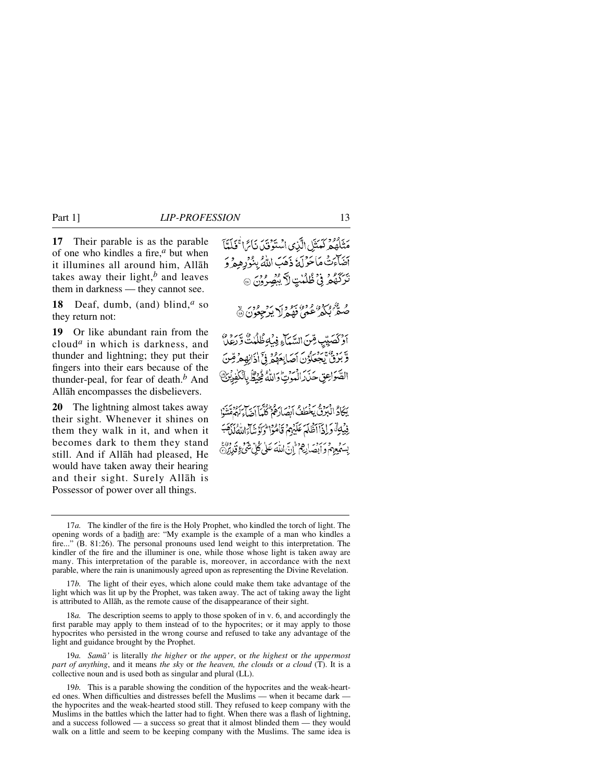**17** Their parable is as the parable of one who kindles a fire,*<sup>a</sup>* but when it illumines all around him, Allåh takes away their light, $<sup>b</sup>$  and leaves</sup> them in darkness — they cannot see.

**18** Deaf, dumb, (and) blind,*<sup>a</sup>* so they return not:

**19** Or like abundant rain from the cloud*<sup>a</sup>* in which is darkness, and thunder and lightning; they put their fingers into their ears because of the thunder-peal, for fear of death.*<sup>b</sup>* And Allåh encompasses the disbelievers.

**20** The lightning almost takes away their sight. Whenever it shines on them they walk in it, and when it becomes dark to them they stand still. And if Allåh had pleased, He would have taken away their hearing and their sight. Surely Allåh is Possessor of power over all things.

مَنْلَهُمْ كَمَنَيْلِ الَّذِي اسْتَوْفَىٰ نَائِراً كَلَمَّاً بَرْسٍ مَاحَوْلَهُ ذَهَبَ اللَّهُ بِبْوُرِهِمْ وَ بِرَدَّهُمْ فِي ظُلُمْتِ لاَّ بِبُصِّرُونَ ۞ هُ گُمُّ مُکْمَرٌ عَمَّى فَهُمْ لَا يَزْجِعُونَ ۞ اوْكَصَبِيْبِ قِنَ السَّمَآءِ فِيۡلِوَظُلُمْتُ وَّرْعِلَّ وَّبَرُقُ يَجْعَلُوْنَ أَصَابِعَهُمْ فِيَ أَذَانِهِمْ قِّنَ الصَّوَاعِقِ حَذَرَ الْمَوْتِ وَاللَّهُ فِيُشْ بِالْكَفِرِيْنَ بِيَكَادُ ادْبِرِقْ بِعَظِفْ أَبِصَارِهُمْ كُلِّيماً أَصَاءَ كُهُمَّتْنَوْا فِيْبِهِةً وَإِذَآآَ ظَلَمَ عَلَيْهِمْ قَامُوْا وَلَوْنِنَآَءَاللَّهُ لَنَهَبَ بِسَمُعِهِمْ وَأَبْصَانِهِمْ ۚ إِنَّ اللَّهَ عَلَى كُلِّ شَيْءٍ فَدَبِرُدٌ ۖ

17*b.* The light of their eyes, which alone could make them take advantage of the light which was lit up by the Prophet, was taken away. The act of taking away the light is attributed to Allåh, as the remote cause of the disappearance of their sight.

18*a.* The description seems to apply to those spoken of in v. 6, and accordingly the first parable may apply to them instead of to the hypocrites; or it may apply to those hypocrites who persisted in the wrong course and refused to take any advantage of the light and guidance brought by the Prophet.

19*a. Samå'* is literally *the higher* or *the upper*, or *the highest* or *the uppermost part of anything*, and it means *the sky* or *the heaven, the clouds* or *a cloud* (T). It is a collective noun and is used both as singular and plural (LL).

19*b.* This is a parable showing the condition of the hypocrites and the weak-hearted ones. When difficulties and distresses befell the Muslims — when it became dark the hypocrites and the weak-hearted stood still. They refused to keep company with the Muslims in the battles which the latter had to fight. When there was a flash of lightning, and a success followed — a success so great that it almost blinded them — they would walk on a little and seem to be keeping company with the Muslims. The same idea is

<sup>17</sup>*a.* The kindler of the fire is the Holy Prophet, who kindled the torch of light. The opening words of a hadith are: "My example is the example of a man who kindles a fire..." (B. 81:26). The personal pronouns used lend weight to this interpretation. The kindler of the fire and the illuminer is one, while those whose light is taken away are many. This interpretation of the parable is, moreover, in accordance with the next parable, where the rain is unanimously agreed upon as representing the Divine Revelation.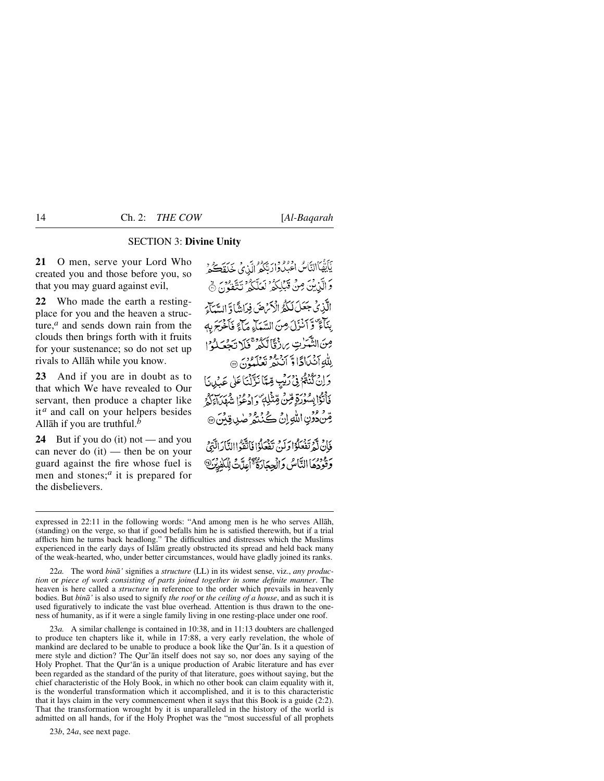#### SECTION 3: **Divine Unity**

**21** O men, serve your Lord Who created you and those before you, so that you may guard against evil,

**22** Who made the earth a restingplace for you and the heaven a structure,*<sup>a</sup>* and sends down rain from the clouds then brings forth with it fruits for your sustenance; so do not set up rivals to Allåh while you know.

**23** And if you are in doubt as to that which We have revealed to Our servant, then produce a chapter like it<sup>*a*</sup> and call on your helpers besides Allåh if you are truthful.*<sup>b</sup>*

**24** But if you do (it) not — and you can never do (it) — then be on your guard against the fire whose fuel is men and stones;*<sup>a</sup>* it is prepared for the disbelievers.

يَأَيُّهَا التَّاسُ اعْبُدُوا رَبُّكُمُ الَّذِي خَلَقْتُكُمْ وَ الَّذِيْنَ مِنْ قَبْلِكُمُ لَعَلَّكُمُ تَتَّقُوُنَ ﴾ الَّذِي جَعَلَ لَكُمُّ الْأَيْرَضَ فِدَانِةً) وَ السَّيِّدَ. بِنَآءٌ وَّ آَنْزَلَ مِنَ السَّيَآءِ مَآَءً فَأَخْرَجَ بِهِ مِنَ النَّهَرٰتِ بِرِزْقًا تَكُوْهِ مَلَا تَحْصَلُوْمِ لله آنسادًا وسي مع سود .<br>بِللّٰهِ آنسَادًا وَّ آنَنْدَ تَعْلَمُونَ ۞ بْرِ دَارُدُهُمْ فِي رَبِّيبِ مِّيَّا نَزَّلْنَا عَلَى عَبْدِينَا فَأَتَوْاْبِسُوْرَةٍ مِّنْ مِّتّْذَٰلِهٖ ۖ وَ ادْعُوْا شَهْيَ\ وَلَا قِنْ دُونِ اللَّهِ إِنْ كُنْنَةُ صٰلٍ قِينَ ۞ فَإِنْ لَّهُ تَفْعَلُوْا وَلَنِي تَفْعَلُوْا فَاتَّقَوْاالِتَّادَالَّذِيْ ر مودي النَّاسُ وَالْحِجَارَةُ عَجَّابِكَتْ لِلْكَفِرْيَنَ

expressed in 22:11 in the following words: "And among men is he who serves Allåh, (standing) on the verge, so that if good befalls him he is satisfied therewith, but if a trial afflicts him he turns back headlong." The difficulties and distresses which the Muslims experienced in the early days of Islåm greatly obstructed its spread and held back many of the weak-hearted, who, under better circumstances, would have gladly joined its ranks.

22*a.* The word *binå'* signifies a *structure* (LL) in its widest sense, viz., *any production* or *piece of work consisting of parts joined together in some definite manner*. The heaven is here called a *structure* in reference to the order which prevails in heavenly bodies. But *binå'* is also used to signify *the roof* or *the ceiling of a house*, and as such it is used figuratively to indicate the vast blue overhead. Attention is thus drawn to the oneness of humanity, as if it were a single family living in one resting-place under one roof.

23*a.* A similar challenge is contained in 10:38, and in 11:13 doubters are challenged to produce ten chapters like it, while in 17:88, a very early revelation, the whole of mankind are declared to be unable to produce a book like the Qur'ån. Is it a question of mere style and diction? The Qur'ån itself does not say so, nor does any saying of the Holy Prophet. That the Qur'ån is a unique production of Arabic literature and has ever been regarded as the standard of the purity of that literature, goes without saying, but the chief characteristic of the Holy Book, in which no other book can claim equality with it, is the wonderful transformation which it accomplished, and it is to this characteristic that it lays claim in the very commencement when it says that this Book is a guide (2:2). That the transformation wrought by it is unparalleled in the history of the world is admitted on all hands, for if the Holy Prophet was the "most successful of all prophets

23*b*, 24*a*, see next page.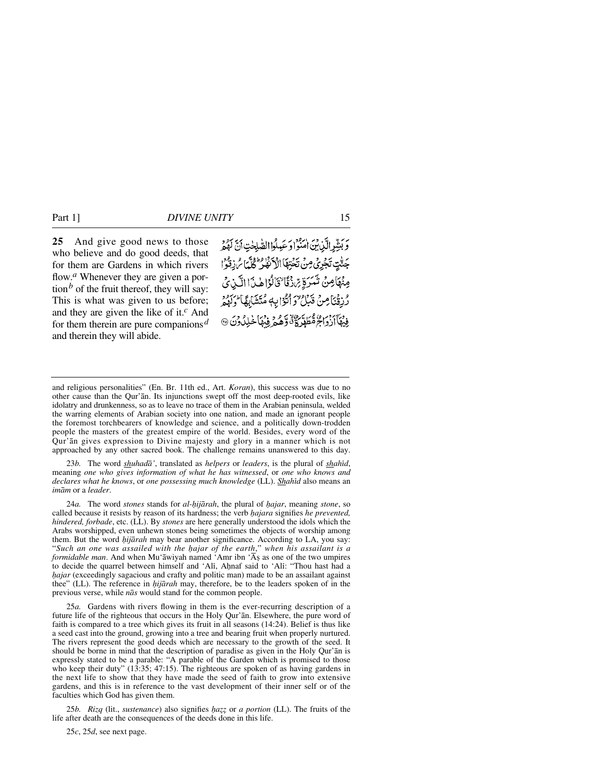**25** And give good news to those who believe and do good deeds, that for them are Gardens in which rivers flow.<sup>*a*</sup> Whenever they are given a portion<sup>b</sup> of the fruit thereof, they will say: This is what was given to us before; and they are given the like of it.*<sup>c</sup>* And for them therein are pure companions*<sup>d</sup>* and therein they will abide.

رَ بِشِّرِ الَّذِينَ الْمَنْوَاوَ عَبِلُوا الصَّلِحْتِ أَنَّ لَهُمْ جَنَّتِ تَجْرَىٰ مِنْ تَحْتِهَا الْأَنْفُرُ كُلَّمَا سُ ذِقْوُا مِنْهَامِنْ تَسَرَةٍ مِّنْ نَقَا تَخَالُوْا هِٰنَ الَّكِّنِ يُ رُّزِقْنَا مِنْ قَبَلُ ٌ وَأَتَوَّا بِهِ مُتَشَابِهًا ۖ وَلَهُمْ فِيْهَآآزْدَاجُ مُّطَهَّرَةٌ وَّهُمْ وَمِّهَا خَلِدُونَ @

23*b.* The word *shuhadå'*, translated as *helpers* or *leaders*, is the plural of *shahßd*, meaning *one who gives information of what he has witnessed*, or *one who knows and declares what he knows*, or *one possessing much knowledge* (LL). *Shahßd* also means an *imåm* or a *leader*.

24*a*. The word *stones* stands for *al-hijārah*, the plural of *hajar*, meaning *stone*, so called because it resists by reason of its hardness; the verb *hajara* signifies *he prevented*, *hindered, forbade*, etc. (LL). By *stones* are here generally understood the idols which the Arabs worshipped, even unhewn stones being sometimes the objects of worship among them. But the word *hijārah* may bear another significance. According to LA, you say: "*Such an one was assailed with the √ajar of the earth*," *when his assailant is a formidable man*. And when Mu'āwiyah named 'Amr ibn 'As as one of the two umpires to decide the quarrel between himself and 'Ali, Ahnaf said to 'Ali: "Thou hast had a *hajar* (exceedingly sagacious and crafty and politic man) made to be an assailant against thee" (LL). The reference in *√ijårah* may, therefore, be to the leaders spoken of in the previous verse, while *nås* would stand for the common people.

25*a.* Gardens with rivers flowing in them is the ever-recurring description of a future life of the righteous that occurs in the Holy Qur'ån. Elsewhere, the pure word of faith is compared to a tree which gives its fruit in all seasons (14:24). Belief is thus like a seed cast into the ground, growing into a tree and bearing fruit when properly nurtured. The rivers represent the good deeds which are necessary to the growth of the seed. It should be borne in mind that the description of paradise as given in the Holy Qur'ån is expressly stated to be a parable: "A parable of the Garden which is promised to those who keep their duty" (13:35; 47:15). The righteous are spoken of as having gardens in the next life to show that they have made the seed of faith to grow into extensive gardens, and this is in reference to the vast development of their inner self or of the faculties which God has given them.

25*b. Rizq* (lit., *sustenance*) also signifies *√a˚˚* or *a portion* (LL). The fruits of the life after death are the consequences of the deeds done in this life.

25*c*, 25*d*, see next page.

and religious personalities" (En. Br. 11th ed., Art. *Koran*), this success was due to no other cause than the Qur'ån. Its injunctions swept off the most deep-rooted evils, like idolatry and drunkenness, so as to leave no trace of them in the Arabian peninsula, welded the warring elements of Arabian society into one nation, and made an ignorant people the foremost torchbearers of knowledge and science, and a politically down-trodden people the masters of the greatest empire of the world. Besides, every word of the Qur'ån gives expression to Divine majesty and glory in a manner which is not approached by any other sacred book. The challenge remains unanswered to this day.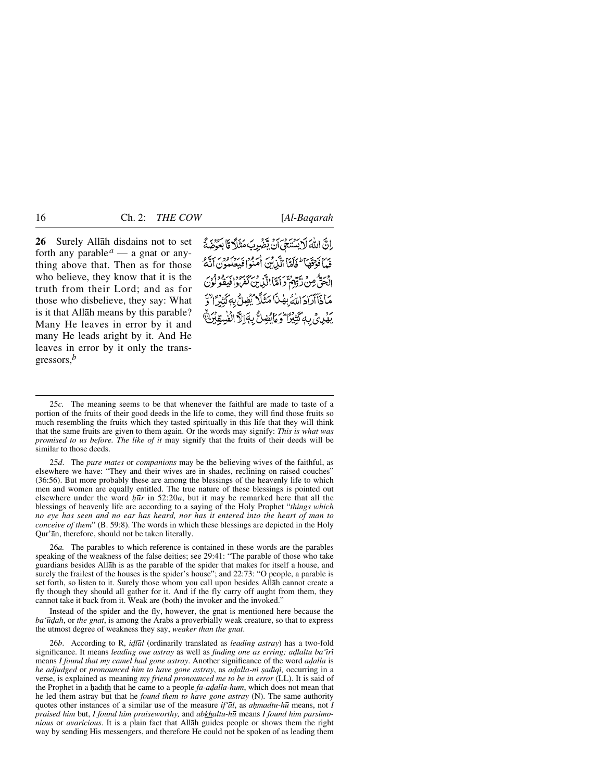**26** Surely Allåh disdains not to set forth any parable<sup> $a$ </sup> — a gnat or anything above that. Then as for those who believe, they know that it is the truth from their Lord; and as for those who disbelieve, they say: What is it that Allåh means by this parable? Many He leaves in error by it and many He leads aright by it. And He leaves in error by it only the transgressors,*<sup>b</sup>*

إِنَّ اللَّهَ لَا يَسْتَحَىَّ أَنْ يَضْرِبَ مَثَلاً قَا بَعُوْضَةً فيأذقها للمكان الآزني أمرود بردرود بريو الْحَقُّ مِنْ رَّبِّهِمْ ۚ وَأَمَّاالَّذِينَ كَفَرُواْ فِيقُولُونَ مَاذَآآرَادَ اللَّهُ بِهْنَا مَثَلًا يُضِلُّ بِهَكَّتِيْرًا يَهْدِي بِهَكَّتِيْزَا وَمَايُضِلُّ بِهَالِلَّ الْفُسِقِيْنَ

25*d*. The *pure mates* or *companions* may be the believing wives of the faithful, as elsewhere we have: "They and their wives are in shades, reclining on raised couches" (36:56). But more probably these are among the blessings of the heavenly life to which men and women are equally entitled. The true nature of these blessings is pointed out elsewhere under the word  $h\bar{u}r$  in 52:20*a*, but it may be remarked here that all the blessings of heavenly life are according to a saying of the Holy Prophet "*things which no eye has seen and no ear has heard, nor has it entered into the heart of man to conceive of them*" (B. 59:8). The words in which these blessings are depicted in the Holy Qur'ån, therefore, should not be taken literally.

26*a.* The parables to which reference is contained in these words are the parables speaking of the weakness of the false deities; see 29:41: "The parable of those who take guardians besides Allåh is as the parable of the spider that makes for itself a house, and surely the frailest of the houses is the spider's house"; and 22:73: "O people, a parable is set forth, so listen to it. Surely those whom you call upon besides Allåh cannot create a fly though they should all gather for it. And if the fly carry off aught from them, they cannot take it back from it. Weak are (both) the invoker and the invoked."

Instead of the spider and the fly, however, the gnat is mentioned here because the *ba'* $ū*qah*$ , or *the gnat*, is among the Arabs a proverbially weak creature, so that to express the utmost degree of weakness they say, *weaker than the gnat*.

26*b*. According to R, *i˙lål* (ordinarily translated as *leading astray*) has a two-fold significance. It means *leading one astray* as well as *finding one as erring; adlaltu ba* 'iri means *I found that my camel had gone astray*. Another significance of the word *adalla* is *he adjudged* or *pronounced him to have gone astray*, as *a˙alla-nß ©adßqß,* occurring in a verse, is explained as meaning *my friend pronounced me to be in error* (LL). It is said of the Prophet in a hadith that he came to a people *fa-adalla-hum*, which does not mean that he led them astray but that he *found them to have gone astray* (N). The same authority quotes other instances of a similar use of the measure *if'ål*, as *aƒmadtu-h∂* means, not *I praised him* but, *I found him praiseworthy,* and *abkhaltu-h∂* means *I found him parsimonious* or *avaricious*. It is a plain fact that Allåh guides people or shows them the right way by sending His messengers, and therefore He could not be spoken of as leading them

<sup>25</sup>*c.* The meaning seems to be that whenever the faithful are made to taste of a portion of the fruits of their good deeds in the life to come, they will find those fruits so much resembling the fruits which they tasted spiritually in this life that they will think that the same fruits are given to them again. Or the words may signify: *This is what was promised to us before. The like of it* may signify that the fruits of their deeds will be similar to those deeds.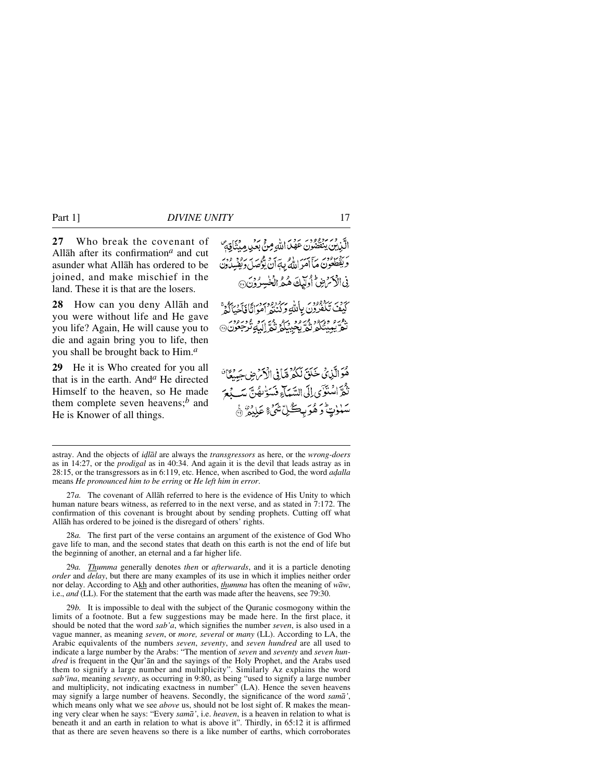**27** Who break the covenant of Allåh after its confirmation*<sup>a</sup>* and cut asunder what Allåh has ordered to be joined, and make mischief in the land. These it is that are the losers.

**28** How can you deny Allåh and you were without life and He gave you life? Again, He will cause you to die and again bring you to life, then you shall be brought back to Him.*<sup>a</sup>*

**29** He it is Who created for you all that is in the earth. And*<sup>a</sup>* He directed Himself to the heaven, so He made them complete seven heavens;*<sup>b</sup>* and He is Knower of all things.

الَّذِينِ يَنفَضُونَ عَهْدَ اللّهِ مِنْ بَعُدِ مِيْنَاقِهِمَّ بِرَدْيَنِ وَدَبِرٍ مِنْ آمَيْهِ أَنْ يَرْضَى الْمُؤْصَلَ وَبَقِيبِيلُونَ نِ الْأَسْرَضِ الْوَلَيْكَ هُهُ الْخُسِرُوْنَ ۞ ى دېر بېروورى پالل<u>ە بېروومورى</u><br>كېف تكفرون پالل<u>ە</u> دېڭنىر امواتافاخپاڭمۇ دويرو وبرود ويرود ويردون<br>نو بېكىنگە نە بېمبىگە نە للەندىجون@ هُوَالَّذِي خَلَقَ لَكُمْ مِّبَافِي الْأَمْرُضِ جَدِيمَاتِي ور<br>نَعْرٌ اللَّهُ تَوَىٰ إِلَى السَّعَاءِ فَسَوٌّ بِفَيْ مَبَيْدَ مِنَ يَدَ **سَلَوْتٍ وَهُوَبِكُلِّ**تْنَهُ عِلِيْهِ ۚ

28*a.* The first part of the verse contains an argument of the existence of God Who gave life to man, and the second states that death on this earth is not the end of life but the beginning of another, an eternal and a far higher life.

29*a. Thumma* generally denotes *then* or *afterwards*, and it is a particle denoting *order* and *delay*, but there are many examples of its use in which it implies neither order nor delay. According to Akh and other authorities, *thumma* has often the meaning of *wåw*, i.e., *and* (LL). For the statement that the earth was made after the heavens, see 79:30.

29*b.* It is impossible to deal with the subject of the Quranic cosmogony within the limits of a footnote. But a few suggestions may be made here. In the first place, it should be noted that the word *sab'a*, which signifies the number *seven*, is also used in a vague manner, as meaning *seven*, or *more, several* or *many* (LL). According to LA, the Arabic equivalents of the numbers *seven*, *seventy*, and *seven hundred* are all used to indicate a large number by the Arabs: "The mention of *seven* and *seventy* and *seven hundred* is frequent in the Qur'ån and the sayings of the Holy Prophet, and the Arabs used them to signify a large number and multiplicity". Similarly Az explains the word *sab'ßna*, meaning *seventy*, as occurring in 9:80, as being "used to signify a large number and multiplicity, not indicating exactness in number" (LA). Hence the seven heavens may signify a large number of heavens. Secondly, the significance of the word *samå'*, which means only what we see *above* us, should not be lost sight of. R makes the meaning very clear when he says: "Every *samå'*, i.e. *heaven*, is a heaven in relation to what is beneath it and an earth in relation to what is above it". Thirdly, in 65:12 it is affirmed that as there are seven heavens so there is a like number of earths, which corroborates

astray. And the objects of *i˙lål* are always the *transgressors* as here, or the *wrong-doers* as in 14:27, or the *prodigal* as in 40:34. And again it is the devil that leads astray as in 28:15, or the transgressors as in 6:119, etc. Hence, when ascribed to God, the word *adalla* means *He pronounced him to be erring* or *He left him in error*.

<sup>27</sup>*a.* The covenant of Allåh referred to here is the evidence of His Unity to which human nature bears witness, as referred to in the next verse, and as stated in 7:172. The confirmation of this covenant is brought about by sending prophets. Cutting off what Allåh has ordered to be joined is the disregard of others' rights.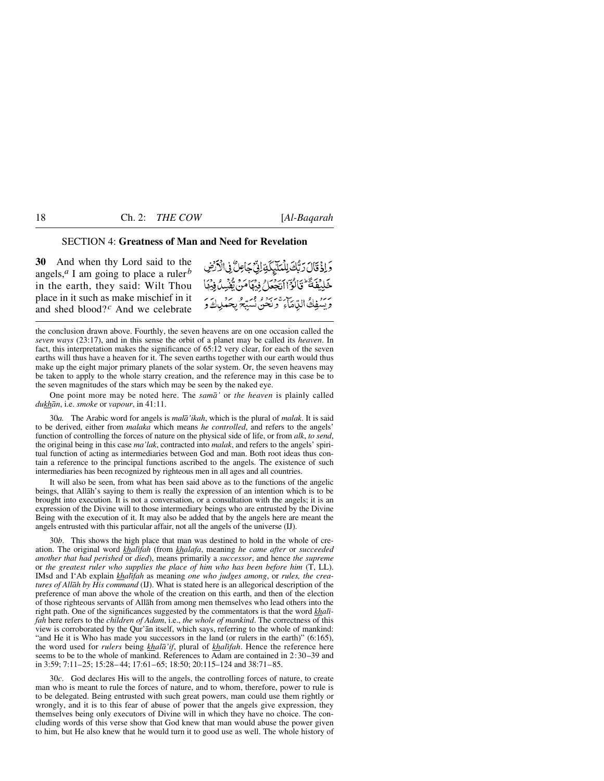### SECTION 4: **Greatness of Man and Need for Revelation**

**30** And when thy Lord said to the angels,*<sup>a</sup>* I am going to place a ruler*<sup>b</sup>* in the earth, they said: Wilt Thou place in it such as make mischief in it and shed blood?*<sup>c</sup>* And we celebrate

وَإِذْ قَالَ رَبُّكَ لِلْمَلَّيْكَةِ لِنِّ جَاعِلٌ فِى الْأَرْضِ خَلِيْفَةً \* تَالُوَّ الْتَجْعَلُ فِيْهَا مَنْ يُّفْسِدُ فِيْهَا ر .<br>ويسفِكُ الدِّمَاءَ وَنَحْنُ نُسَبِّحُ بِحَمْلِكَ وَ

the conclusion drawn above. Fourthly, the seven heavens are on one occasion called the *seven ways* (23:17), and in this sense the orbit of a planet may be called its *heaven*. In fact, this interpretation makes the significance of 65:12 very clear, for each of the seven earths will thus have a heaven for it. The seven earths together with our earth would thus make up the eight major primary planets of the solar system. Or, the seven heavens may be taken to apply to the whole starry creation, and the reference may in this case be to the seven magnitudes of the stars which may be seen by the naked eye.

One point more may be noted here. The *samå'* or *the heaven* is plainly called *dukhån*, i.e. *smoke* or *vapour*, in 41:11.

30*a.* The Arabic word for angels is *malå'ikah*, which is the plural of *malak*. It is said to be derived, either from *malaka* which means *he controlled*, and refers to the angels' function of controlling the forces of nature on the physical side of life, or from *alk*, *to send*, the original being in this case *ma'lak*, contracted into *malak*, and refers to the angels' spiritual function of acting as intermediaries between God and man. Both root ideas thus contain a reference to the principal functions ascribed to the angels. The existence of such intermediaries has been recognized by righteous men in all ages and all countries.

It will also be seen, from what has been said above as to the functions of the angelic beings, that Allåh's saying to them is really the expression of an intention which is to be brought into execution. It is not a conversation, or a consultation with the angels; it is an expression of the Divine will to those intermediary beings who are entrusted by the Divine Being with the execution of it. It may also be added that by the angels here are meant the angels entrusted with this particular affair, not all the angels of the universe (IJ).

30*b*. This shows the high place that man was destined to hold in the whole of creation. The original word *khalßfah* (from *khalafa*, meaning *he came after* or *succeeded another that had perished* or *died*), means primarily a *successor*, and hence *the supreme* or *the greatest ruler who supplies the place of him who has been before him* (T, LL). IMsd and I'Ab explain *khalifah* as meaning one who judges among, or rules, the crea*tures of Allåh by His command* (IJ). What is stated here is an allegorical description of the preference of man above the whole of the creation on this earth, and then of the election of those righteous servants of Allåh from among men themselves who lead others into the right path. One of the significances suggested by the commentators is that the word *khalßfah* here refers to the *children of Adam*, i.e., *the whole of mankind*. The correctness of this view is corroborated by the Qur'ån itself, which says, referring to the whole of mankind: "and He it is Who has made you successors in the land (or rulers in the earth)" (6:165), the word used for *rulers* being *khalå'if*, plural of *khalßfah*. Hence the reference here seems to be to the whole of mankind. References to Adam are contained in 2:30–39 and in 3:59; 7:11–25; 15:28– 44; 17:61–65; 18:50; 20:115–124 and 38:71–85.

30*c*. God declares His will to the angels, the controlling forces of nature, to create man who is meant to rule the forces of nature, and to whom, therefore, power to rule is to be delegated. Being entrusted with such great powers, man could use them rightly or wrongly, and it is to this fear of abuse of power that the angels give expression, they themselves being only executors of Divine will in which they have no choice. The concluding words of this verse show that God knew that man would abuse the power given to him, but He also knew that he would turn it to good use as well. The whole history of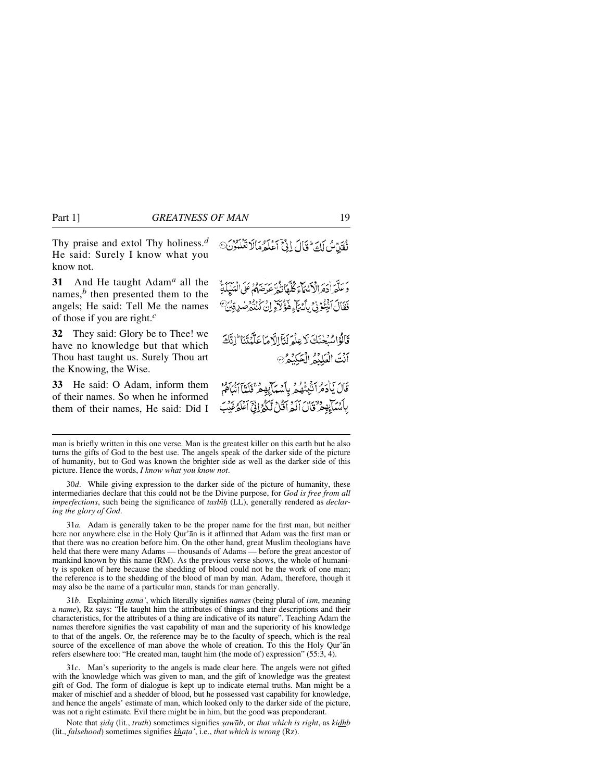Thy praise and extol Thy holiness.*<sup>d</sup>* He said: Surely I know what you know not.

**31** And He taught Adam*<sup>a</sup>* all the names, $<sup>b</sup>$  then presented them to the</sup> angels; He said: Tell Me the names of those if you are right.*<sup>c</sup>*

**32** They said: Glory be to Thee! we have no knowledge but that which Thou hast taught us. Surely Thou art the Knowing, the Wise.

**33** He said: O Adam, inform them of their names. So when he informed them of their names, He said: Did I نُفَيِّنَّ لَكَ تَالَ إِذَّ آَعَلَٰهُ مَالَا تَعْلَمُونَ<sup>0</sup>

رَبِّكَهُ إِرْبِرِ وَمِنْ الرَّبْعَ الرَّبِّي بِرِ بِرِ وَمِنْ الْمَلْيَكَةُ ۚ<br>وَ عَلَّهِ إِدْهِ الرَّبْعَاءِ كُلُّهَا نُغُرٌّ عَرِضَهُمْ عَلَى الْمَلْيِكَةُ فَقَالَ اَنْبُخُونَ بِأَيْتَاءِ هَؤُلَاءٍ إِنْ كُنْتُمْ ضَرِقِيْنَ

قَالُوْ اسْتَخْنَكَ لَا عِلَّمَ لَنَا الَّهُ مَا عَلَّمُنَنَا ۖ إِنَّكَ أَنْتَ الْعَلَيْمُ الْجَكِيْمُ

ْ قَالَ يَادَهُ أَنْبَعُهُمْ بِأَسْهَابِهِمْ فَلَدًّا أَنْبَاهُمْ بِأَسْبَابِهِمْ ٌ قَالَ أَلَمْ أَقُلْ لِّكُمْ إِنِّيِّ أَعْلَمُ غَيْبَ

man is briefly written in this one verse. Man is the greatest killer on this earth but he also turns the gifts of God to the best use. The angels speak of the darker side of the picture of humanity, but to God was known the brighter side as well as the darker side of this picture. Hence the words, *I know what you know not*.

30*d*. While giving expression to the darker side of the picture of humanity, these intermediaries declare that this could not be the Divine purpose, for *God is free from all imperfections*, such being the significance of *tasbß√* (LL), generally rendered as *declaring the glory of God*.

31*a.* Adam is generally taken to be the proper name for the first man, but neither here nor anywhere else in the Holy Qur'ån is it affirmed that Adam was the first man or that there was no creation before him. On the other hand, great Muslim theologians have held that there were many Adams — thousands of Adams — before the great ancestor of mankind known by this name (RM). As the previous verse shows, the whole of humanity is spoken of here because the shedding of blood could not be the work of one man; the reference is to the shedding of the blood of man by man. Adam, therefore, though it may also be the name of a particular man, stands for man generally.

31*b*. Explaining *asmå'*, which literally signifies *names* (being plural of *ism*, meaning a *name*), Rz says: "He taught him the attributes of things and their descriptions and their characteristics, for the attributes of a thing are indicative of its nature". Teaching Adam the names therefore signifies the vast capability of man and the superiority of his knowledge to that of the angels. Or, the reference may be to the faculty of speech, which is the real source of the excellence of man above the whole of creation. To this the Holy Qur'ån refers elsewhere too: "He created man, taught him (the mode of) expression" (55:3, 4).

31*c*. Man's superiority to the angels is made clear here. The angels were not gifted with the knowledge which was given to man, and the gift of knowledge was the greatest gift of God. The form of dialogue is kept up to indicate eternal truths. Man might be a maker of mischief and a shedder of blood, but he possessed vast capability for knowledge, and hence the angels' estimate of man, which looked only to the darker side of the picture, was not a right estimate. Evil there might be in him, but the good was preponderant.

Note that *sidq* (lit., *truth*) sometimes signifies *sawāb*, or *that which is right*, as *kidhb* (lit., *falsehood*) sometimes signifies *kha∆a'*, i.e., *that which is wrong* (Rz).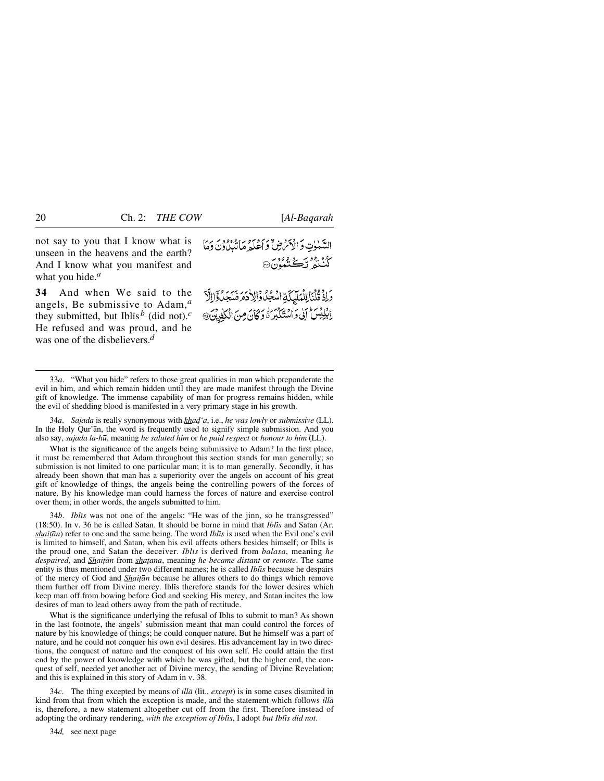not say to you that I know what is unseen in the heavens and the earth? And I know what you manifest and what you hide.*<sup>a</sup>*

**34** And when We said to the angels, Be submissive to Adam,*<sup>a</sup>* they submitted, but Iblis<sup>b</sup> (did not).<sup>*c*</sup> He refused and was proud, and he was one of the disbelievers.*<sup>d</sup>*

السَّهٰوٰتِ وَالْأَمْرَضِ ۚ وَأَعْلَمُ مَا يُّهُوْهُ وَيَ وَمَا ڭنىرت<del>ى</del>شلون @

وَإِذْ قُلْبَالِلْمَلَيْكَةِ اسْجُلُوْالِلْهَ مَرْنَسَجَدُوْالِلَّا إِلَيْلِيْسَ إِنِّي وَاسْتَكْبَرَةَ وَكَانَ مِنَ الْكَفِرِيْنَ،

34*a*. *Sajada* is really synonymous with *khad'a*, i.e., *he was lowly* or *submissive* (LL). In the Holy Qur'ån, the word is frequently used to signify simple submission. And you also say, *sajada la-h∂*, meaning *he saluted him* or *he paid respect* or *honour to him* (LL).

What is the significance of the angels being submissive to Adam? In the first place, it must be remembered that Adam throughout this section stands for man generally; so submission is not limited to one particular man; it is to man generally. Secondly, it has already been shown that man has a superiority over the angels on account of his great gift of knowledge of things, the angels being the controlling powers of the forces of nature. By his knowledge man could harness the forces of nature and exercise control over them; in other words, the angels submitted to him.

34*b*. *Iblßs* was not one of the angels: "He was of the jinn, so he transgressed" (18:50). In v. 36 he is called Satan. It should be borne in mind that *Iblßs* and Satan (Ar. *shaitan*) refer to one and the same being. The word *Iblis* is used when the Evil one's evil is limited to himself, and Satan, when his evil affects others besides himself; or Iblis is the proud one, and Satan the deceiver. *Iblßs* is derived from *balasa*, meaning *he despaired*, and *Shaiƌn* from *sha∆ana*, meaning *he became distant* or *remote*. The same entity is thus mentioned under two different names; he is called *Iblßs* because he despairs of the mercy of God and *Shaiƌn* because he allures others to do things which remove them further off from Divine mercy. Iblis therefore stands for the lower desires which keep man off from bowing before God and seeking His mercy, and Satan incites the low desires of man to lead others away from the path of rectitude.

What is the significance underlying the refusal of Iblis to submit to man? As shown in the last footnote, the angels' submission meant that man could control the forces of nature by his knowledge of things; he could conquer nature. But he himself was a part of nature, and he could not conquer his own evil desires. His advancement lay in two directions, the conquest of nature and the conquest of his own self. He could attain the first end by the power of knowledge with which he was gifted, but the higher end, the conquest of self, needed yet another act of Divine mercy, the sending of Divine Revelation; and this is explained in this story of Adam in v. 38.

34*c*. The thing excepted by means of *illå* (lit., *except*) is in some cases disunited in kind from that from which the exception is made, and the statement which follows *illå* is, therefore, a new statement altogether cut off from the first. Therefore instead of adopting the ordinary rendering, with the exception of Iblis, I adopt but Iblis did not.

34*d,* see next page

<sup>33</sup>*a*. "What you hide" refers to those great qualities in man which preponderate the evil in him, and which remain hidden until they are made manifest through the Divine gift of knowledge. The immense capability of man for progress remains hidden, while the evil of shedding blood is manifested in a very primary stage in his growth.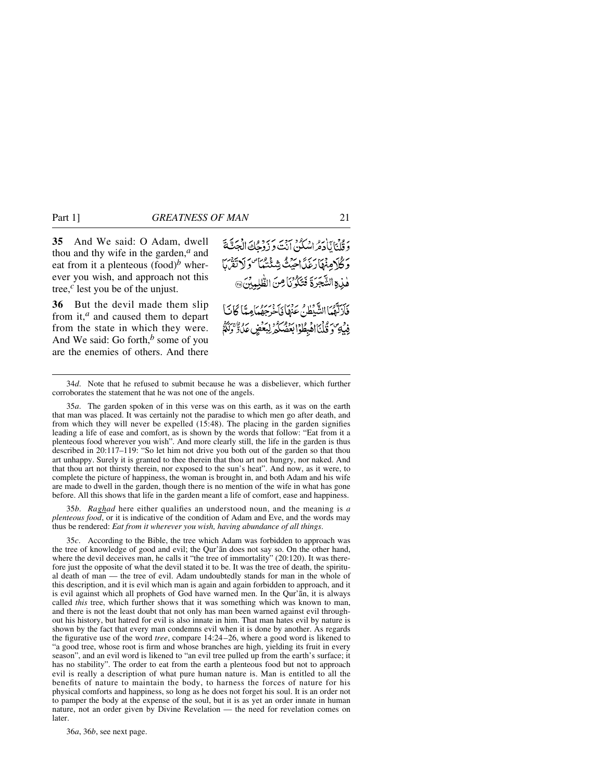**35** And We said: O Adam, dwell thou and thy wife in the garden,*<sup>a</sup>* and eat from it a plenteous  $(food)^b$  wherever you wish, and approach not this tree,*<sup>c</sup>* lest you be of the unjust.

**36** But the devil made them slip from it,*<sup>a</sup>* and caused them to depart from the state in which they were. And We said: Go forth,*<sup>b</sup>* some of you are the enemies of others. And there وَقُلْنَايَاْدَهُ اسْكُنْ أَنْتَ وَ زُوْجِكَ الْجَثَّةَ ر گُرُونَهَارَغَدَاحِيَتُ شِئْتُنَهَا "دَلَاتَقَرْبَا هْذِهِ الشَّجَرَةَ فَتَكَرُّنَا مِنَ الطَّلِمِينَ، .<br>فَأَزَلَّهُمَا الشَّيْطُنُ عَنْهَا فَأَحْرَجِهُمَا مِيًّا كَانَبَأْ

فِيْهِ وَقُلْنَااهُبِطُوْابَعُضُكُمْ لِبَعْضٍ عَلَّا وَلَٰهُمْ

35*a*. The garden spoken of in this verse was on this earth, as it was on the earth that man was placed. It was certainly not the paradise to which men go after death, and from which they will never be expelled (15:48). The placing in the garden signifies leading a life of ease and comfort, as is shown by the words that follow: "Eat from it a plenteous food wherever you wish". And more clearly still, the life in the garden is thus described in 20:117–119: "So let him not drive you both out of the garden so that thou art unhappy. Surely it is granted to thee therein that thou art not hungry, nor naked. And that thou art not thirsty therein, nor exposed to the sun's heat". And now, as it were, to complete the picture of happiness, the woman is brought in, and both Adam and his wife are made to dwell in the garden, though there is no mention of the wife in what has gone before. All this shows that life in the garden meant a life of comfort, ease and happiness.

35*b*. *Raghad* here either qualifies an understood noun, and the meaning is *a plenteous food*, or it is indicative of the condition of Adam and Eve, and the words may thus be rendered: *Eat from it wherever you wish, having abundance of all things*.

35*c*. According to the Bible, the tree which Adam was forbidden to approach was the tree of knowledge of good and evil; the Qur'ån does not say so. On the other hand, where the devil deceives man, he calls it "the tree of immortality" (20:120). It was therefore just the opposite of what the devil stated it to be. It was the tree of death, the spiritual death of man — the tree of evil. Adam undoubtedly stands for man in the whole of this description, and it is evil which man is again and again forbidden to approach, and it is evil against which all prophets of God have warned men. In the Qur'ån, it is always called *this* tree, which further shows that it was something which was known to man, and there is not the least doubt that not only has man been warned against evil throughout his history, but hatred for evil is also innate in him. That man hates evil by nature is shown by the fact that every man condemns evil when it is done by another. As regards the figurative use of the word *tree*, compare 14:24–26, where a good word is likened to "a good tree, whose root is firm and whose branches are high, yielding its fruit in every season", and an evil word is likened to "an evil tree pulled up from the earth's surface; it has no stability". The order to eat from the earth a plenteous food but not to approach evil is really a description of what pure human nature is. Man is entitled to all the benefits of nature to maintain the body, to harness the forces of nature for his physical comforts and happiness, so long as he does not forget his soul. It is an order not to pamper the body at the expense of the soul, but it is as yet an order innate in human nature, not an order given by Divine Revelation — the need for revelation comes on later.

36*a*, 36*b*, see next page.

<sup>34</sup>*d*. Note that he refused to submit because he was a disbeliever, which further corroborates the statement that he was not one of the angels.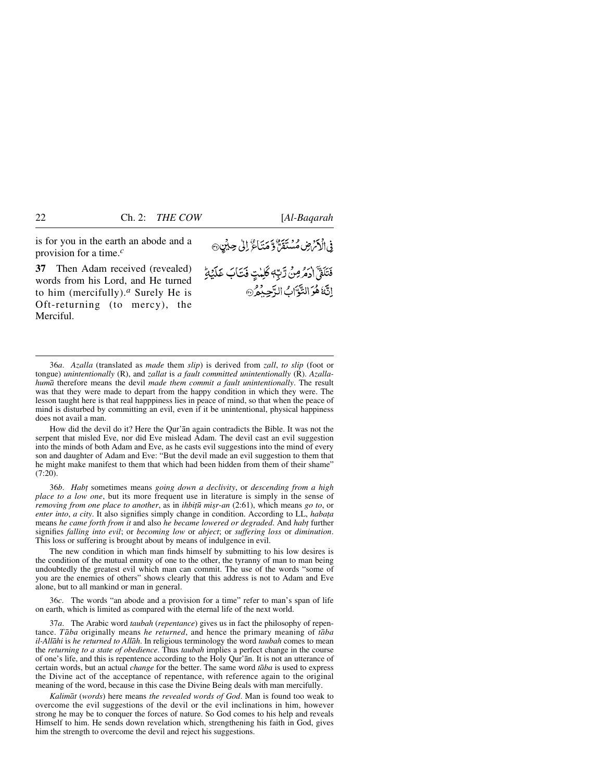is for you in the earth an abode and a provision for a time.*<sup>c</sup>*

**37** Then Adam received (revealed) words from his Lord, and He turned to him (mercifully).*<sup>a</sup>* Surely He is Oft-returning (to mercy), the Merciful.

فِى الْأَمْرَضِ مُسْتَقَنَّ وَ مَتَأَعَّ لِلَّى حِيْنٍ ۞

فَتَلَقَّ ادْمُرْمِنْ رَّبِّهِ كَلِمْتٍ فَتَأْبَ غَلَيْهِ اِنَّهُ هُوَ التَّوَّابُ الرَّحِبُمُ ۞

36*a*. *Azalla* (translated as *made* them *slip*) is derived from *zall*, *to slip* (foot or tongue) *unintentionally* (R), and *zallat* is *a fault committed unintentionally* (R). *Azallahumå* therefore means the devil *made them commit a fault unintentionally*. The result was that they were made to depart from the happy condition in which they were. The lesson taught here is that real happpiness lies in peace of mind, so that when the peace of mind is disturbed by committing an evil, even if it be unintentional, physical happiness does not avail a man.

How did the devil do it? Here the Qur'ån again contradicts the Bible. It was not the serpent that misled Eve, nor did Eve mislead Adam. The devil cast an evil suggestion into the minds of both Adam and Eve, as he casts evil suggestions into the mind of every son and daughter of Adam and Eve: "But the devil made an evil suggestion to them that he might make manifest to them that which had been hidden from them of their shame" (7:20).

36*b*. *Hab∆* sometimes means *going down a declivity*, or *descending from a high place to a low one*, but its more frequent use in literature is simply in the sense of *removing from one place to another*, as in *ihbitū misr-an* (2:61), which means *go to*, or *enter into, a city*. It also signifies simply change in condition. According to LL, *habata* means *he came forth from it* and also *he became lowered or degraded*. And *habt* further signifies *falling into evil*; or *becoming low* or *abject*; or *suffering loss* or *diminution*. This loss or suffering is brought about by means of indulgence in evil.

The new condition in which man finds himself by submitting to his low desires is the condition of the mutual enmity of one to the other, the tyranny of man to man being undoubtedly the greatest evil which man can commit. The use of the words "some of you are the enemies of others" shows clearly that this address is not to Adam and Eve alone, but to all mankind or man in general.

36*c*. The words "an abode and a provision for a time" refer to man's span of life on earth, which is limited as compared with the eternal life of the next world.

37*a*. The Arabic word *taubah* (*repentance*) gives us in fact the philosophy of repentance. *Tåba* originally means *he returned*, and hence the primary meaning of *tåba il-Allåhi* is *he returned to Allåh*. In religious terminology the word *taubah* comes to mean the *returning to a state of obedience*. Thus *taubah* implies a perfect change in the course of one's life, and this is repentence according to the Holy Qur'ån. It is not an utterance of certain words, but an actual *change* for the better. The same word *tåba* is used to express the Divine act of the acceptance of repentance, with reference again to the original meaning of the word, because in this case the Divine Being deals with man mercifully.

*Kalimåt* (*words*) here means *the revealed words of God*. Man is found too weak to overcome the evil suggestions of the devil or the evil inclinations in him, however strong he may be to conquer the forces of nature. So God comes to his help and reveals Himself to him. He sends down revelation which, strengthening his faith in God, gives him the strength to overcome the devil and reject his suggestions.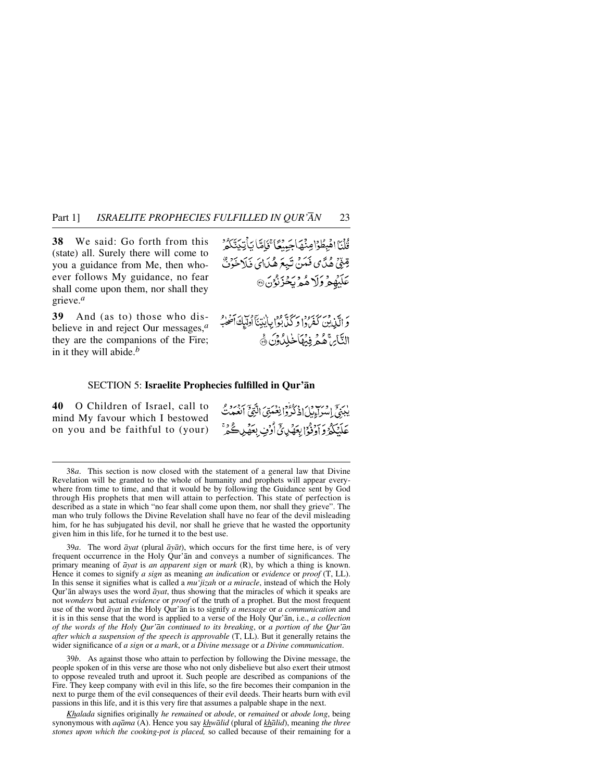**38** We said: Go forth from this (state) all. Surely there will come to you a guidance from Me, then whoever follows My guidance, no fear shall come upon them, nor shall they grieve.*<sup>a</sup>*

**39** And (as to) those who disbelieve in and reject Our messages,*<sup>a</sup>* they are the companions of the Fire; in it they will abide.*<sup>b</sup>*

قُلْنَا اهْبِطُوْا مِنْهَاجَينْعَا تَجَاهَّا يَأْتِدَيَّنَكُمُّ قِيْنِيٌ هُدَّى فَمَنْ تَبِعَ هُدَايَ فَلَاخَوَنَّ عَلَيْهِمْ وَلَا هُمْرِيِحْزِنُوُنَ®

وَ الَّذِينَ كَفَرْدًا وَكُنَّا بِكَانِينَاۤ أُولَيكَ آَصَلُهِ ۖ التَّائِنَّ هُمَّر فِيُهَاخْلِلُونَ ﴾

#### SECTION 5: **Israelite Prophecies fulfilled in Qur'ån**

**40** O Children of Israel, call to mind My favour which I bestowed on you and be faithful to (your) يبيّتي اسواءتيكي فه وكفرة انغُصَبّتيَ النّتيّ أنغُصَبْ عَلَيْكُمُ وَآوَدُوْا بِعَهْدِئِ أَرْفٍ بِعَهْدِ كُمْ

39*a*. The word *åyat* (plural *åyåt*), which occurs for the first time here, is of very frequent occurrence in the Holy Qur'ån and conveys a number of significances. The primary meaning of *åyat* is *an apparent sign* or *mark* (R), by which a thing is known. Hence it comes to signify *a sign* as meaning *an indication* or *evidence* or *proof* (T, LL). In this sense it signifies what is called a *mu'jizah* or *a miracle*, instead of which the Holy Qur'ån always uses the word *åyat*, thus showing that the miracles of which it speaks are not *wonders* but actual *evidence* or *proof* of the truth of a prophet. But the most frequent use of the word *åyat* in the Holy Qur'ån is to signify *a message* or *a communication* and it is in this sense that the word is applied to a verse of the Holy Qur'ån, i.e., *a collection of the words of the Holy Qur'ån continued to its breaking*, or *a portion of the Qur'ån after which a suspension of the speech is approvable* (T, LL). But it generally retains the wider significance of *a sign* or *a mark*, or *a Divine message* or *a Divine communication*.

39*b*. As against those who attain to perfection by following the Divine message, the people spoken of in this verse are those who not only disbelieve but also exert their utmost to oppose revealed truth and uproot it. Such people are described as companions of the Fire. They keep company with evil in this life, so the fire becomes their companion in the next to purge them of the evil consequences of their evil deeds. Their hearts burn with evil passions in this life, and it is this very fire that assumes a palpable shape in the next.

*Khalada* signifies originally *he remained* or *abode*, or *remained* or *abode long*, being synonymous with *aqåma* (A). Hence you say *khwålid* (plural of *khålid*), meaning *the three stones upon which the cooking-pot is placed,* so called because of their remaining for a

<sup>38</sup>*a*. This section is now closed with the statement of a general law that Divine Revelation will be granted to the whole of humanity and prophets will appear everywhere from time to time, and that it would be by following the Guidance sent by God through His prophets that men will attain to perfection. This state of perfection is described as a state in which "no fear shall come upon them, nor shall they grieve". The man who truly follows the Divine Revelation shall have no fear of the devil misleading him, for he has subjugated his devil, nor shall he grieve that he wasted the opportunity given him in this life, for he turned it to the best use.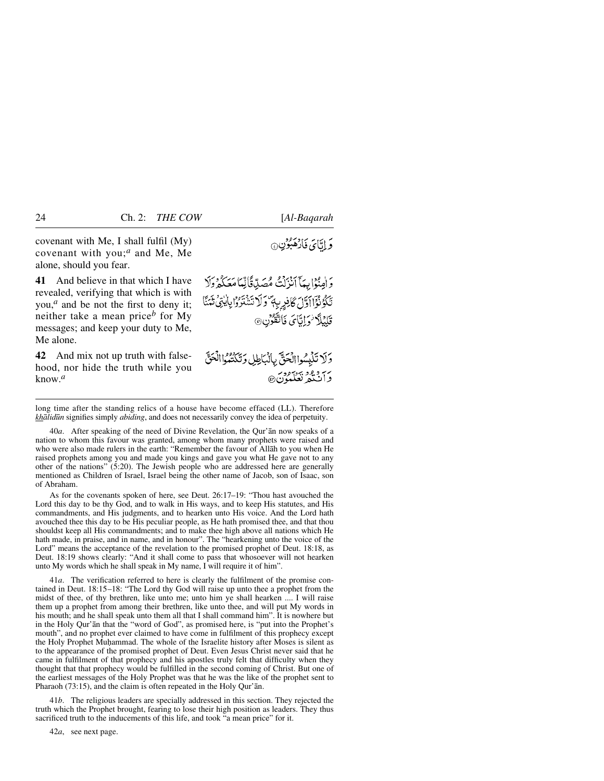covenant with Me, I shall fulfil (My) covenant with you;*<sup>a</sup>* and Me, Me alone, should you fear.

**41** And believe in that which I have revealed, verifying that which is with you,*<sup>a</sup>* and be not the first to deny it; neither take a mean price*<sup>b</sup>* for My messages; and keep your duty to Me, Me alone.

**42** And mix not up truth with falsehood, nor hide the truth while you know.*<sup>a</sup>*

وَ إِيَّائَ فَارْهَبُوْنِ@

وَ الْمِنْوَابِيَآ آَنْزَلْتُ مُصَلِّاقًالِّيَاۤ مَعَكُمْ وَلَا تَكَوُنُوْٓااَوَّلَ كَانِرِيةٍ وَلَا تَتَنْتَرُوْابِالِّتِي تَتَمَنَّا قَلِيْلًا فَرَايَّایَ فَاتَّقُونِ@

وَلَا تَلْبِسُوا الْحَقّ بِالْبَاطِلِ وَتَكْتُبُوا الْحَقّ رس و و د بر دور<br>د ان په

long time after the standing relics of a house have become effaced (LL). Therefore *khålid∂n* signifies simply *abiding*, and does not necessarily convey the idea of perpetuity.

40*a*. After speaking of the need of Divine Revelation, the Qur'ån now speaks of a nation to whom this favour was granted, among whom many prophets were raised and who were also made rulers in the earth: "Remember the favour of Allåh to you when He raised prophets among you and made you kings and gave you what He gave not to any other of the nations" (5:20). The Jewish people who are addressed here are generally mentioned as Children of Israel, Israel being the other name of Jacob, son of Isaac, son of Abraham.

As for the covenants spoken of here, see Deut. 26:17–19: "Thou hast avouched the Lord this day to be thy God, and to walk in His ways, and to keep His statutes, and His commandments, and His judgments, and to hearken unto His voice. And the Lord hath avouched thee this day to be His peculiar people, as He hath promised thee, and that thou shouldst keep all His commandments; and to make thee high above all nations which He hath made, in praise, and in name, and in honour". The "hearkening unto the voice of the Lord" means the acceptance of the revelation to the promised prophet of Deut. 18:18, as Deut. 18:19 shows clearly: "And it shall come to pass that whosoever will not hearken unto My words which he shall speak in My name, I will require it of him".

41*a*. The verification referred to here is clearly the fulfilment of the promise contained in Deut. 18:15–18: "The Lord thy God will raise up unto thee a prophet from the midst of thee, of thy brethren, like unto me; unto him ye shall hearken .... I will raise them up a prophet from among their brethren, like unto thee, and will put My words in his mouth; and he shall speak unto them all that I shall command him". It is nowhere but in the Holy Qur'ån that the "word of God", as promised here, is "put into the Prophet's mouth", and no prophet ever claimed to have come in fulfilment of this prophecy except the Holy Prophet Muhammad. The whole of the Israelite history after Moses is silent as to the appearance of the promised prophet of Deut. Even Jesus Christ never said that he came in fulfilment of that prophecy and his apostles truly felt that difficulty when they thought that that prophecy would be fulfilled in the second coming of Christ. But one of the earliest messages of the Holy Prophet was that he was the like of the prophet sent to Pharaoh (73:15), and the claim is often repeated in the Holy Qur'ån.

41*b*. The religious leaders are specially addressed in this section. They rejected the truth which the Prophet brought, fearing to lose their high position as leaders. They thus sacrificed truth to the inducements of this life, and took "a mean price" for it.

42*a*, see next page.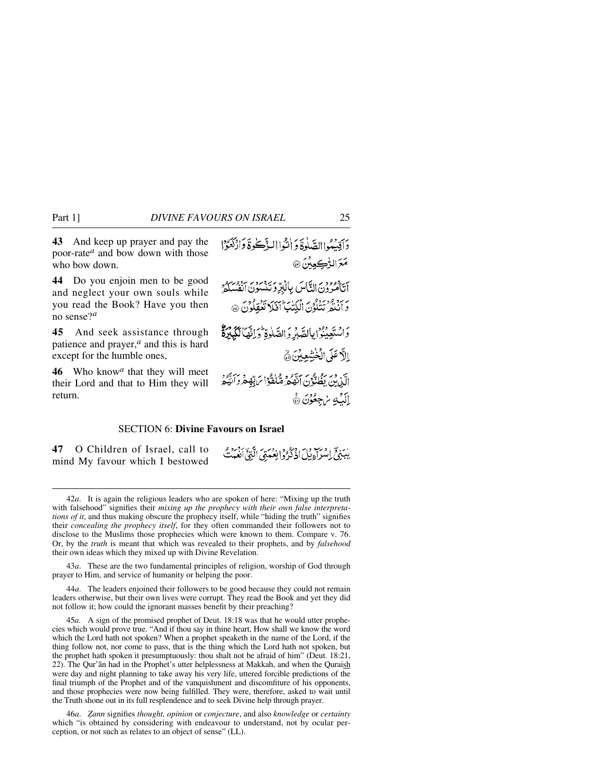**43** And keep up prayer and pay the poor-rate*<sup>a</sup>* and bow down with those who bow down.

**44** Do you enjoin men to be good and neglect your own souls while you read the Book? Have you then no sense?*<sup>a</sup>*

**45** And seek assistance through patience and prayer,*<sup>a</sup>* and this is hard except for the humble ones,

**46** Who know*<sup>a</sup>* that they will meet their Lord and that to Him they will return.

دَاقِيْبُواالصَّلُوةَ وَ اٰنْثُواالنَّاتَكُوةَ وَازْكَتْرُوْا مَعَ الرُّكِعِينَ @ م دورور ، پس بازبرّ دیبور برور<br>انامرون الیَّاس بالبُرِّد تنسون انفُسکهُ بر برد وديرو .<br>وَأَنْتُدِ تَتَلَوْنَ الْكِتَٰبَ أَفَلا تَعْقِلُونَ @ دَاسْتَعِينُوْ إِبِالصَّبِّرِ وَالصَّلْوَةِ وَإِنَّهَا لَكِبِيْدَةُ الأخَلَى الْخُشِعِينَ ﴾ الّذِينَ بِظُنَّوْنَ اَنَّهُمْ مَّاغْوُا يَرَبُّهِ مِرْ اَنْقُعْ إِلَيْهِ سُجِعُوْنَ ۞

# SECTION 6: **Divine Favours on Israel**

**47** O Children of Israel, call to mind My favour which I bestowed

بِيَبَدَحَ إِمْرَتِهِ فِي إِذْ كُرُودُ إِنِعْسَوْيَ الَّذِيَ بِجَمْعِ مِ

43*a*. These are the two fundamental principles of religion, worship of God through prayer to Him, and service of humanity or helping the poor.

44*a*. The leaders enjoined their followers to be good because they could not remain leaders otherwise, but their own lives were corrupt. They read the Book and yet they did not follow it; how could the ignorant masses benefit by their preaching?

45*a*. A sign of the promised prophet of Deut. 18:18 was that he would utter prophecies which would prove true. "And if thou say in thine heart, How shall we know the word which the Lord hath not spoken? When a prophet speaketh in the name of the Lord, if the thing follow not, nor come to pass, that is the thing which the Lord hath not spoken, but the prophet hath spoken it presumptuously: thou shalt not be afraid of him" (Deut. 18:21, 22). The Qur'an had in the Prophet's utter helplessness at Makkah, and when the Quraish were day and night planning to take away his very life, uttered forcible predictions of the final triumph of the Prophet and of the vanquishment and discomfiture of his opponents, and those prophecies were now being fulfilled. They were, therefore, asked to wait until the Truth shone out in its full resplendence and to seek Divine help through prayer.

46*a*. *Òann* signifies *thought, opinion* or *conjecture*, and also *knowledge* or *certainty* which "is obtained by considering with endeavour to understand, not by ocular perception, or not such as relates to an object of sense" (LL).

<sup>42</sup>*a*. It is again the religious leaders who are spoken of here: "Mixing up the truth with falsehood" signifies their *mixing up the prophecy with their own false interpretations of it*, and thus making obscure the prophecy itself, while "hiding the truth" signifies their *concealing the prophecy itself*, for they often commanded their followers not to disclose to the Muslims those prophecies which were known to them. Compare v. 76. Or, by the *truth* is meant that which was revealed to their prophets, and by *falsehood* their own ideas which they mixed up with Divine Revelation.